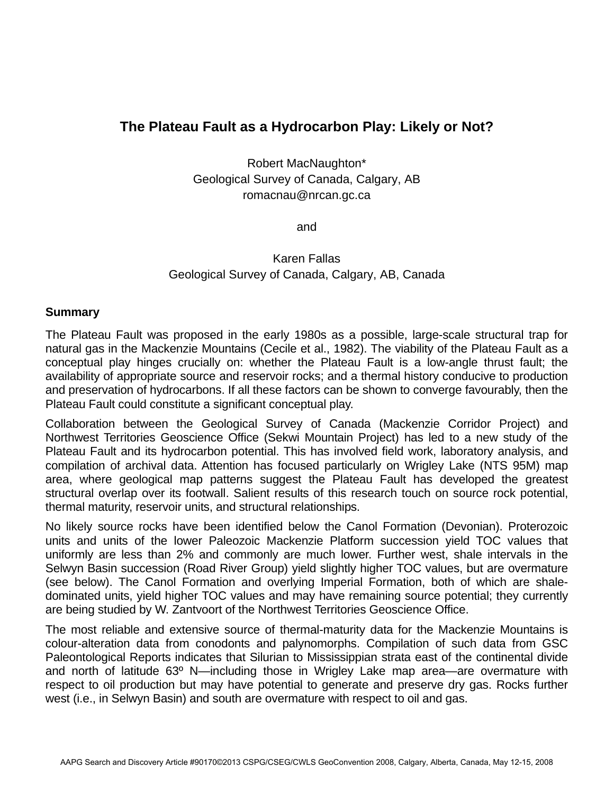## **The Plateau Fault as a Hydrocarbon Play: Likely or Not?**

Robert MacNaughton\* Geological Survey of Canada, Calgary, AB romacnau@nrcan.gc.ca

and

Karen Fallas Geological Survey of Canada, Calgary, AB, Canada

## **Summary**

The Plateau Fault was proposed in the early 1980s as a possible, large-scale structural trap for natural gas in the Mackenzie Mountains (Cecile et al., 1982). The viability of the Plateau Fault as a conceptual play hinges crucially on: whether the Plateau Fault is a low-angle thrust fault; the availability of appropriate source and reservoir rocks; and a thermal history conducive to production and preservation of hydrocarbons. If all these factors can be shown to converge favourably, then the Plateau Fault could constitute a significant conceptual play.

Collaboration between the Geological Survey of Canada (Mackenzie Corridor Project) and Northwest Territories Geoscience Office (Sekwi Mountain Project) has led to a new study of the Plateau Fault and its hydrocarbon potential. This has involved field work, laboratory analysis, and compilation of archival data. Attention has focused particularly on Wrigley Lake (NTS 95M) map area, where geological map patterns suggest the Plateau Fault has developed the greatest structural overlap over its footwall. Salient results of this research touch on source rock potential, thermal maturity, reservoir units, and structural relationships.

No likely source rocks have been identified below the Canol Formation (Devonian). Proterozoic units and units of the lower Paleozoic Mackenzie Platform succession yield TOC values that uniformly are less than 2% and commonly are much lower. Further west, shale intervals in the Selwyn Basin succession (Road River Group) yield slightly higher TOC values, but are overmature (see below). The Canol Formation and overlying Imperial Formation, both of which are shaledominated units, yield higher TOC values and may have remaining source potential; they currently are being studied by W. Zantvoort of the Northwest Territories Geoscience Office.

The most reliable and extensive source of thermal-maturity data for the Mackenzie Mountains is colour-alteration data from conodonts and palynomorphs. Compilation of such data from GSC Paleontological Reports indicates that Silurian to Mississippian strata east of the continental divide and north of latitude 63º N—including those in Wrigley Lake map area—are overmature with respect to oil production but may have potential to generate and preserve dry gas. Rocks further west (i.e., in Selwyn Basin) and south are overmature with respect to oil and gas.